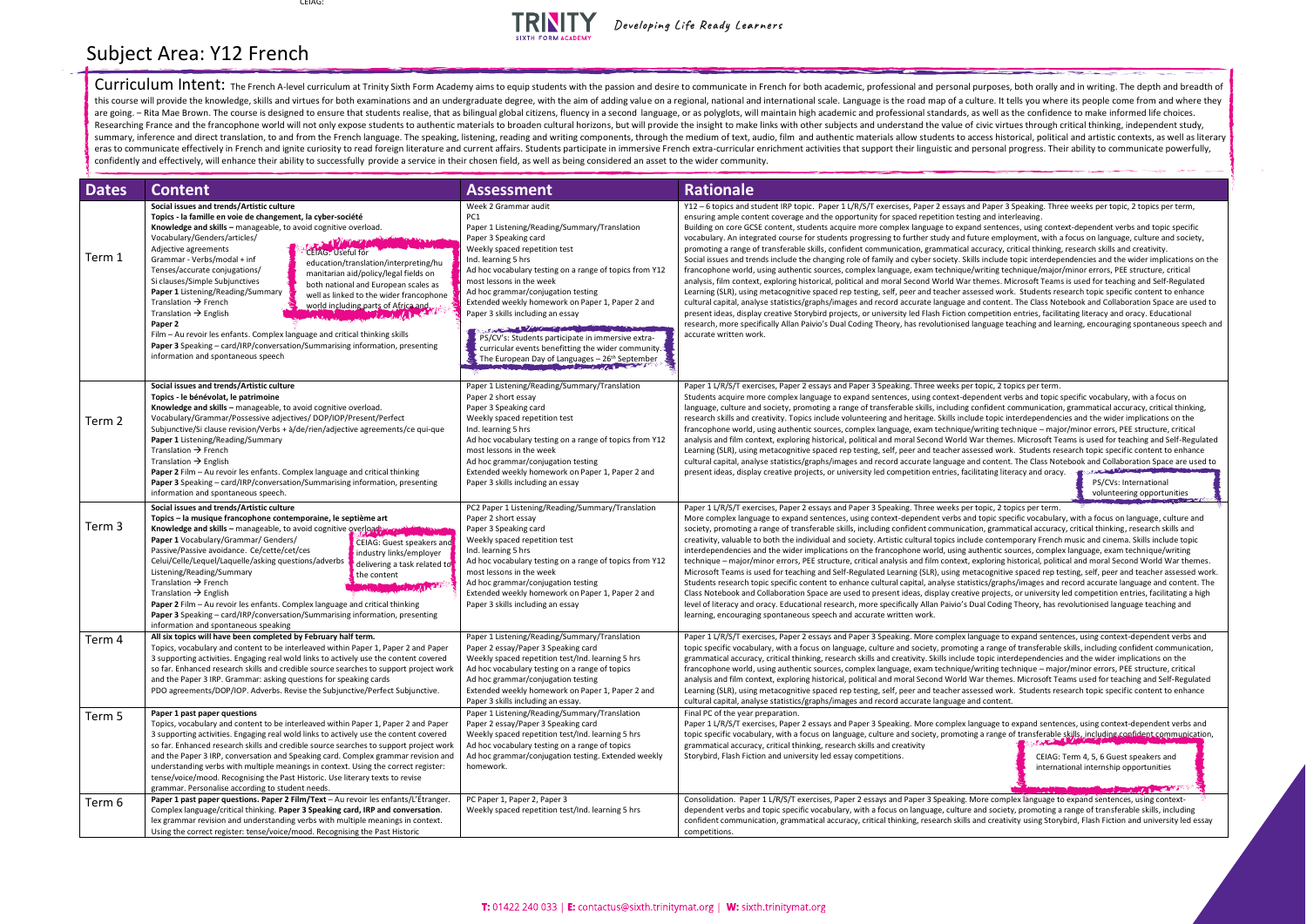Curriculum Intent: The French A-level curriculum at Trinity Sixth Form Academy aims to equip students with the passion and desire to communicate in French for both academic, professional and personal purposes, both orally this course will provide the knowledge, skills and virtues for both examinations and an undergraduate degree, with the aim of adding value on a regional, national and international scale. Language is the road map of a cult are going. - Rita Mae Brown. The course is designed to ensure that students realise, that as bilingual global citizens, fluency in a second language, or as polyglots, will maintain high academic and professional standards, Researching France and the francophone world will not only expose students to authentic materials to broaden cultural horizons, but will provide the insight to make links with other subjects and understand the value of civ summary, inference and direct translation, to and from the French language. The speaking, listening, reading and writing components, through the medium of text, audio, film and authentic materials allow students to access eras to communicate effectively in French and ignite curiosity to read foreign literature and current affairs. Students participate in immersive French extra-curricular enrichment activities that support their linguistic a confidently and effectively, will enhance their ability to successfully provide a service in their chosen field, as well as being considered an asset to the wider community.

| <b>Dates</b> | <b>Content</b>                                                                                                                                                                                                                                                                                                                                                                                                                                                                                                                                                                                                                                                                                                                                                                                                                                                                                                                                                                                                                                                                                                                                                                                                                                                                                                                                                                                            | <b>Assessment</b>                                                                                                                                                                                                                                                                                                                                                                                                                                                                                                                                                                                                           | <b>Rationale</b>                                                                                                                                                                                                                                                                                                                                                                                                                                                                                                                                                                                                                                                                                                                                                                                                                                                                                                                                                                                                                                                                                                                                                                                                                                                                                                    |
|--------------|-----------------------------------------------------------------------------------------------------------------------------------------------------------------------------------------------------------------------------------------------------------------------------------------------------------------------------------------------------------------------------------------------------------------------------------------------------------------------------------------------------------------------------------------------------------------------------------------------------------------------------------------------------------------------------------------------------------------------------------------------------------------------------------------------------------------------------------------------------------------------------------------------------------------------------------------------------------------------------------------------------------------------------------------------------------------------------------------------------------------------------------------------------------------------------------------------------------------------------------------------------------------------------------------------------------------------------------------------------------------------------------------------------------|-----------------------------------------------------------------------------------------------------------------------------------------------------------------------------------------------------------------------------------------------------------------------------------------------------------------------------------------------------------------------------------------------------------------------------------------------------------------------------------------------------------------------------------------------------------------------------------------------------------------------------|---------------------------------------------------------------------------------------------------------------------------------------------------------------------------------------------------------------------------------------------------------------------------------------------------------------------------------------------------------------------------------------------------------------------------------------------------------------------------------------------------------------------------------------------------------------------------------------------------------------------------------------------------------------------------------------------------------------------------------------------------------------------------------------------------------------------------------------------------------------------------------------------------------------------------------------------------------------------------------------------------------------------------------------------------------------------------------------------------------------------------------------------------------------------------------------------------------------------------------------------------------------------------------------------------------------------|
| Term 1       | Social issues and trends/Artistic culture<br>Topics - la famille en voie de changement, la cyber-société<br>Knowledge and skills - manageable, to avoid cognitive overload.<br>Vocabulary/Genders/articles/<br>$\mathcal{L} = \int_{\mathcal{L}} \int_{\mathcal{L}} \int_{\mathcal{L}} \int_{\mathcal{L}} \int_{\mathcal{L}} \int_{\mathcal{L}} \int_{\mathcal{L}} \int_{\mathcal{L}} \int_{\mathcal{L}} \int_{\mathcal{L}} \int_{\mathcal{L}} \int_{\mathcal{L}} \int_{\mathcal{L}} \int_{\mathcal{L}} \int_{\mathcal{L}} \int_{\mathcal{L}} \int_{\mathcal{L}} \int_{\mathcal{L}} \int_{\mathcal{L}} \int_{\mathcal{L}} \int_{\mathcal{L}} \int_{\mathcal{L}} \int_{\mathcal{L}} \int_{\mathcal$<br>Adjective agreements<br><b>CEIAG: Useful for</b><br>Grammar - Verbs/modal + inf<br>education/translation/interpreting/hu<br>Tenses/accurate conjugations/<br>manitarian aid/policy/legal fields on<br>Si clauses/Simple Subjunctives<br>both national and European scales as<br>Paper 1 Listening/Reading/Summary<br>well as linked to the wider francophone<br>Translation $\rightarrow$ French<br>world including parts of Africa and<br>Translation $\rightarrow$ English<br>Paper 2<br>Film - Au revoir les enfants. Complex language and critical thinking skills<br><b>Paper 3</b> Speaking – card/IRP/conversation/Summarising information, presenting<br>information and spontaneous speech | Week 2 Grammar audit<br>PC1<br>Paper 1 Listening/Reading/Summary/Translation<br>Paper 3 Speaking card<br>Weekly spaced repetition test<br>Ind. learning 5 hrs<br>Ad hoc vocabulary testing on a range of topics from Y12<br>most lessons in the week<br>Ad hoc grammar/conjugation testing<br>Extended weekly homework on Paper 1, Paper 2 and<br>Paper 3 skills including an essay<br>The Color and Color and Color and Color and Color and Color<br>PS/CV's: Students participate in immersive extra-<br>curricular events benefitting the wider community.<br>The European Day of Languages - 26 <sup>th</sup> September | Y12 - 6 topics and student IRP topic. Paper 1 L/R/S/T exercises, Paper 2 essays and Paper 3 Speaking<br>ensuring ample content coverage and the opportunity for spaced repetition testing and interleaving.<br>Building on core GCSE content, students acquire more complex language to expand sentences, using<br>vocabulary. An integrated course for students progressing to further study and future employment,<br>promoting a range of transferable skills, confident communication, grammatical accuracy, critical thi<br>Social issues and trends include the changing role of family and cyber society. Skills include topic inte<br>francophone world, using authentic sources, complex language, exam technique/writing technique/<br>analysis, film context, exploring historical, political and moral Second World War themes. Microsoft<br>Learning (SLR), using metacognitive spaced rep testing, self, peer and teacher assessed work. Stude<br>cultural capital, analyse statistics/graphs/images and record accurate language and content. The Cla<br>present ideas, display creative Storybird projects, or university led Flash Fiction competition entries,<br>research, more specifically Allan Paivio's Dual Coding Theory, has revolutionised language teaching a<br>accurate written work. |
| Term 2       | Social issues and trends/Artistic culture<br>Topics - le bénévolat, le patrimoine<br>Knowledge and skills - manageable, to avoid cognitive overload.<br>Vocabulary/Grammar/Possessive adjectives/ DOP/IOP/Present/Perfect<br>Subjunctive/Si clause revision/Verbs + $\frac{\lambda}{\alpha}$ /de/rien/adjective agreements/ce qui-que<br>Paper 1 Listening/Reading/Summary<br>Translation $\rightarrow$ French<br>Translation $\rightarrow$ English<br>Paper 2 Film - Au revoir les enfants. Complex language and critical thinking<br>Paper 3 Speaking - card/IRP/conversation/Summarising information, presenting<br>information and spontaneous speech.                                                                                                                                                                                                                                                                                                                                                                                                                                                                                                                                                                                                                                                                                                                                                | Paper 1 Listening/Reading/Summary/Translation<br>Paper 2 short essay<br>Paper 3 Speaking card<br>Weekly spaced repetition test<br>Ind. learning 5 hrs<br>Ad hoc vocabulary testing on a range of topics from Y12<br>most lessons in the week<br>Ad hoc grammar/conjugation testing<br>Extended weekly homework on Paper 1, Paper 2 and<br>Paper 3 skills including an essay                                                                                                                                                                                                                                                 | Paper 1 L/R/S/T exercises, Paper 2 essays and Paper 3 Speaking. Three weeks per topic, 2 topics per<br>Students acquire more complex language to expand sentences, using context-dependent verbs and t<br>language, culture and society, promoting a range of transferable skills, including confident communi<br>research skills and creativity. Topics include volunteering and heritage. Skills include topic interdeper<br>francophone world, using authentic sources, complex language, exam technique/writing technique -<br>analysis and film context, exploring historical, political and moral Second World War themes. Micros<br>Learning (SLR), using metacognitive spaced rep testing, self, peer and teacher assessed work. Studer<br>cultural capital, analyse statistics/graphs/images and record accurate language and content. The Cla<br>present ideas, display creative projects, or university led competition entries, facilitating literacy and                                                                                                                                                                                                                                                                                                                                               |
| Term 3       | Social issues and trends/Artistic culture<br>Topics – la musique francophone contemporaine, le septième art<br>Knowledge and skills - manageable, to avoid cognitive overload was alleged to the<br>Paper 1 Vocabulary/Grammar/ Genders/<br>CEIAG: Guest speakers and<br>Passive/Passive avoidance. Ce/cette/cet/ces<br>industry links/employer<br>Celui/Celle/Lequel/Laquelle/asking questions/adverbs<br>delivering a task related to<br>Listening/Reading/Summary<br>the content<br>Translation $\rightarrow$ French<br><b>WITH A REAL PROPERTY</b><br>Translation $\rightarrow$ English<br>Paper 2 Film - Au revoir les enfants. Complex language and critical thinking<br>Paper 3 Speaking - card/IRP/conversation/Summarising information, presenting<br>information and spontaneous speaking                                                                                                                                                                                                                                                                                                                                                                                                                                                                                                                                                                                                       | PC2 Paper 1 Listening/Reading/Summary/Translation<br>Paper 2 short essay<br>Paper 3 Speaking card<br>Weekly spaced repetition test<br>Ind. learning 5 hrs<br>Ad hoc vocabulary testing on a range of topics from Y12<br>most lessons in the week<br>Ad hoc grammar/conjugation testing<br>Extended weekly homework on Paper 1, Paper 2 and<br>Paper 3 skills including an essay                                                                                                                                                                                                                                             | Paper 1 L/R/S/T exercises, Paper 2 essays and Paper 3 Speaking. Three weeks per topic, 2 topics per<br>More complex language to expand sentences, using context-dependent verbs and topic specific voca<br>society, promoting a range of transferable skills, including confident communication, grammatical ac<br>creativity, valuable to both the individual and society. Artistic cultural topics include contemporary F<br>interdependencies and the wider implications on the francophone world, using authentic sources, co<br>technique - major/minor errors, PEE structure, critical analysis and film context, exploring historical,<br>Microsoft Teams is used for teaching and Self-Regulated Learning (SLR), using metacognitive spaced<br>Students research topic specific content to enhance cultural capital, analyse statistics/graphs/image<br>Class Notebook and Collaboration Space are used to present ideas, display creative projects, or unive<br>level of literacy and oracy. Educational research, more specifically Allan Paivio's Dual Coding Theory,<br>learning, encouraging spontaneous speech and accurate written work.                                                                                                                                                             |
| Term 4       | All six topics will have been completed by February half term.<br>Topics, vocabulary and content to be interleaved within Paper 1, Paper 2 and Paper<br>3 supporting activities. Engaging real wold links to actively use the content covered<br>so far. Enhanced research skills and credible source searches to support project work<br>and the Paper 3 IRP. Grammar: asking questions for speaking cards<br>PDO agreements/DOP/IOP. Adverbs. Revise the Subjunctive/Perfect Subjunctive.                                                                                                                                                                                                                                                                                                                                                                                                                                                                                                                                                                                                                                                                                                                                                                                                                                                                                                               | Paper 1 Listening/Reading/Summary/Translation<br>Paper 2 essay/Paper 3 Speaking card<br>Weekly spaced repetition test/Ind. learning 5 hrs<br>Ad hoc vocabulary testing on a range of topics<br>Ad hoc grammar/conjugation testing<br>Extended weekly homework on Paper 1, Paper 2 and<br>Paper 3 skills including an essay.                                                                                                                                                                                                                                                                                                 | Paper 1 L/R/S/T exercises, Paper 2 essays and Paper 3 Speaking. More complex language to expand s<br>topic specific vocabulary, with a focus on language, culture and society, promoting a range of transfe<br>grammatical accuracy, critical thinking, research skills and creativity. Skills include topic interdepend<br>francophone world, using authentic sources, complex language, exam technique/writing technique -<br>analysis and film context, exploring historical, political and moral Second World War themes. Micros<br>Learning (SLR), using metacognitive spaced rep testing, self, peer and teacher assessed work. Studer<br>cultural capital, analyse statistics/graphs/images and record accurate language and content.                                                                                                                                                                                                                                                                                                                                                                                                                                                                                                                                                                        |
| Term 5       | Paper 1 past paper questions<br>Topics, vocabulary and content to be interleaved within Paper 1, Paper 2 and Paper<br>3 supporting activities. Engaging real wold links to actively use the content covered<br>so far. Enhanced research skills and credible source searches to support project work<br>and the Paper 3 IRP, conversation and Speaking card. Complex grammar revision and<br>understanding verbs with multiple meanings in context. Using the correct register:<br>tense/voice/mood. Recognising the Past Historic. Use literary texts to revise<br>grammar. Personalise according to student needs.                                                                                                                                                                                                                                                                                                                                                                                                                                                                                                                                                                                                                                                                                                                                                                                      | Paper 1 Listening/Reading/Summary/Translation<br>Paper 2 essay/Paper 3 Speaking card<br>Weekly spaced repetition test/Ind. learning 5 hrs<br>Ad hoc vocabulary testing on a range of topics<br>Ad hoc grammar/conjugation testing. Extended weekly<br>homework.                                                                                                                                                                                                                                                                                                                                                             | Final PC of the year preparation.<br>Paper 1 L/R/S/T exercises, Paper 2 essays and Paper 3 Speaking. More complex language to expand s<br>topic specific vocabulary, with a focus on language, culture and society, promoting a range of transfe<br>grammatical accuracy, critical thinking, research skills and creativity<br>Storybird, Flash Fiction and university led essay competitions.<br>$\mathsf{C}$<br>in                                                                                                                                                                                                                                                                                                                                                                                                                                                                                                                                                                                                                                                                                                                                                                                                                                                                                                |
| Term 6       | Paper 1 past paper questions. Paper 2 Film/Text - Au revoir les enfants/L'Étranger.<br>Complex language/critical thinking. Paper 3 Speaking card, IRP and conversation.<br>lex grammar revision and understanding verbs with multiple meanings in context.<br>Using the correct register: tense/voice/mood. Recognising the Past Historic                                                                                                                                                                                                                                                                                                                                                                                                                                                                                                                                                                                                                                                                                                                                                                                                                                                                                                                                                                                                                                                                 | PC Paper 1, Paper 2, Paper 3<br>Weekly spaced repetition test/Ind. learning 5 hrs                                                                                                                                                                                                                                                                                                                                                                                                                                                                                                                                           | Consolidation. Paper 1 L/R/S/T exercises, Paper 2 essays and Paper 3 Speaking. More complex langu<br>dependent verbs and topic specific vocabulary, with a focus on language, culture and society, promo<br>confident communication, grammatical accuracy, critical thinking, research skills and creativity using<br>competitions.                                                                                                                                                                                                                                                                                                                                                                                                                                                                                                                                                                                                                                                                                                                                                                                                                                                                                                                                                                                 |

aper 3 Speaking. Three weeks per topic, 2 topics per term,

entences, using context-dependent verbs and topic specific employment, with a focus on language, culture and society, racy, critical thinking, research skills and creativity. clude topic interdependencies and the wider implications on the francophone world, using technique wising technique/major/minor errors, PEE structure, critical mes. Microsoft Teams is used for teaching and Self-Regulated d work. Students research topic specific content to enhance ontent. The Class Notebook and Collaboration Space are used to etition entries, facilitating literacy and oracy. Educational uage teaching and learning, encouraging spontaneous speech and

ic, 2 topics per term

lent verbs and topic specific vocabulary, with a focus on ident communication, grammatical accuracy, critical thinking, opic interdependencies and the wider implications on the francophone is using authors in the technique example. The sources in the complex language of the complex structure of the critical technique – major/minor errors, PEE structure, critical themes, Microsoft Teams is used for teaching and Self-Regulated d work. Students research topic specific content to enhance. ontent. The Class Notebook and Collaboration Space are used to ing literacy and oracy. **Contact of State** 

## Subject Area: Y12 French

CEIAG:



Developing Life Ready Learners

PS/CVs: International volunteering opportunities

ic, 2 topics per term.

pic specific vocabulary, with a focus on language, culture and grammatical accuracy, critical thinking, research skills and contemporary French music and cinema. Skills include topic ntic sources, complex language, exam technique/writing oring historical, political and moral Second World War themes. ognitive spaced rep testing, self, peer and teacher assessed work. /graphs/images and record accurate language and content. The cojects, or university led competition entries, facilitating a high Coding Theory, has revolutionised language teaching and

age to expand sentences, using context-dependent verbs and range of transferable skills, including confident communication, ic interdependencies and the wider implications on the francophone is using using the sources in the ching technique – major/minor errors, PEE structure, critical hemes. Microsoft Teams used for teaching and Self-Regulated d work. Students research topic specific content to enhance

age to expand sentences, using context-dependent verbs and range of transferable skills, including confident communication,

> CEIAG: Term 4, 5, 6 Guest speakers and international internship opportunities

**AMAZZA DE CARECO** complex language to expand sentences, using contextsociety, promoting a range of transferable skills, including creativity using Storybird, Flash Fiction and university led essay